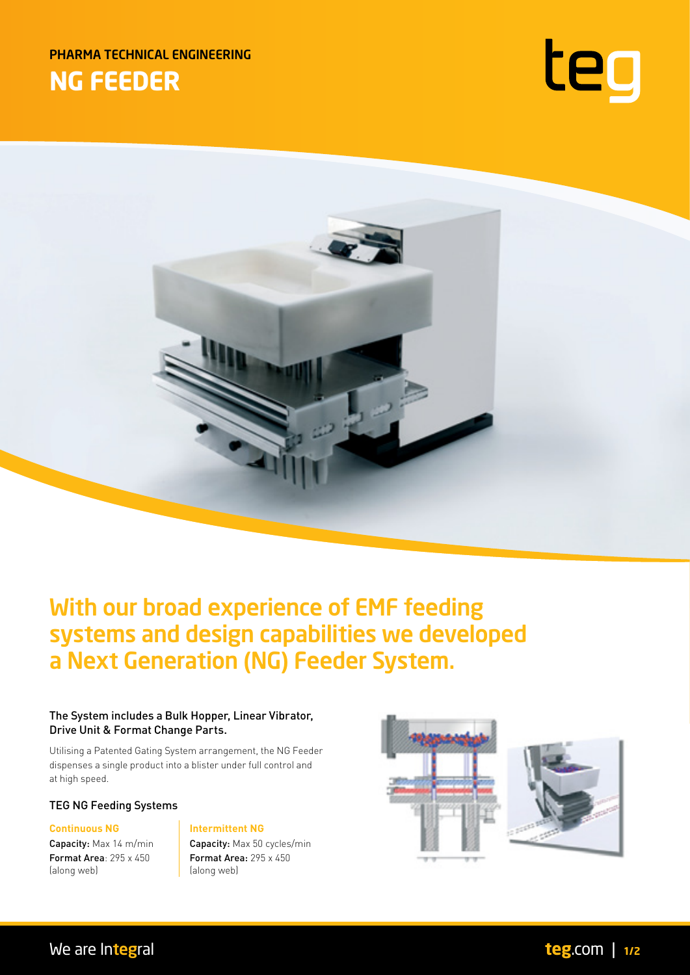PHARMA TECHNICAL ENGINEERING **NG FEEDER**





# With our broad experience of EMF feeding systems and design capabilities we developed a Next Generation (NG) Feeder System.

## The System includes a Bulk Hopper, Linear Vibrator, Drive Unit & Format Change Parts.

Utilising a Patented Gating System arrangement, the NG Feeder dispenses a single product into a blister under full control and at high speed.

TEG NG Feeding Systems

Format Area: 295 x 450 (along web)

### **Continuous NG Intermittent NG**

Capacity: Max 14 m/min **Capacity: Max 50 cycles/min** Format Area: 295 x 450 (along web)